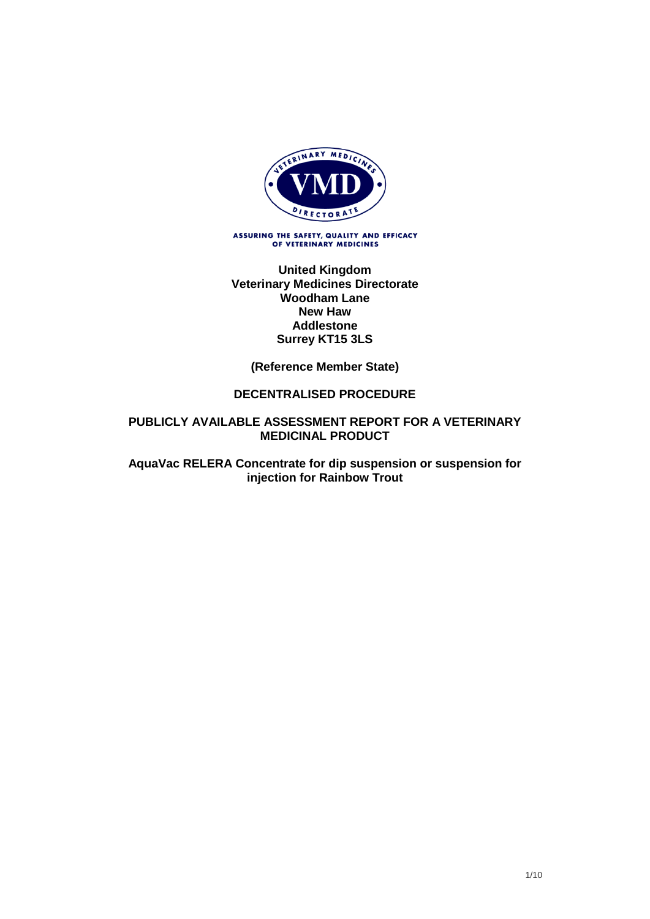

ASSURING THE SAFETY, QUALITY AND EFFICACY<br>OF VETERINARY MEDICINES

**United Kingdom Veterinary Medicines Directorate Woodham Lane New Haw Addlestone Surrey KT15 3LS**

**(Reference Member State)**

#### **DECENTRALISED PROCEDURE**

#### **PUBLICLY AVAILABLE ASSESSMENT REPORT FOR A VETERINARY MEDICINAL PRODUCT**

**AquaVac RELERA Concentrate for dip suspension or suspension for injection for Rainbow Trout**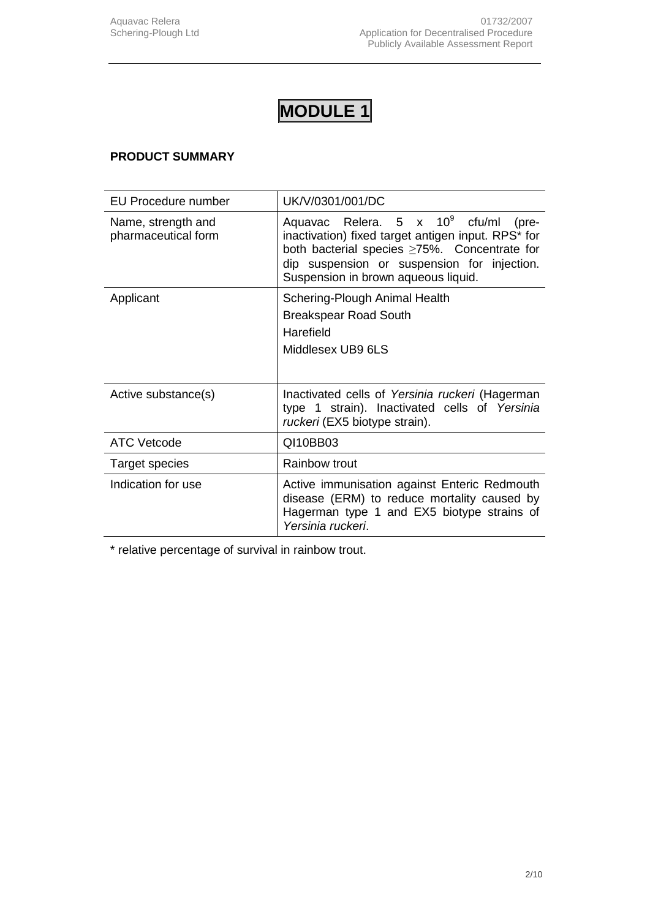# **PRODUCT SUMMARY**

| <b>EU Procedure number</b>                | UK/V/0301/001/DC                                                                                                                                                                                                                         |
|-------------------------------------------|------------------------------------------------------------------------------------------------------------------------------------------------------------------------------------------------------------------------------------------|
| Name, strength and<br>pharmaceutical form | Aquavac Relera. $5 \times 10^9$ cfu/ml (pre-<br>inactivation) fixed target antigen input. RPS* for<br>both bacterial species >75%. Concentrate for<br>dip suspension or suspension for injection.<br>Suspension in brown aqueous liquid. |
| Applicant                                 | Schering-Plough Animal Health                                                                                                                                                                                                            |
|                                           | <b>Breakspear Road South</b>                                                                                                                                                                                                             |
|                                           | Harefield                                                                                                                                                                                                                                |
|                                           | Middlesex UB9 6LS                                                                                                                                                                                                                        |
|                                           |                                                                                                                                                                                                                                          |
| Active substance(s)                       | Inactivated cells of Yersinia ruckeri (Hagerman<br>type 1 strain). Inactivated cells of Yersinia<br>ruckeri (EX5 biotype strain).                                                                                                        |
| <b>ATC Vetcode</b>                        | QI10BB03                                                                                                                                                                                                                                 |
| Target species                            | Rainbow trout                                                                                                                                                                                                                            |
| Indication for use                        | Active immunisation against Enteric Redmouth<br>disease (ERM) to reduce mortality caused by<br>Hagerman type 1 and EX5 biotype strains of<br>Yersinia ruckeri.                                                                           |

\* relative percentage of survival in rainbow trout.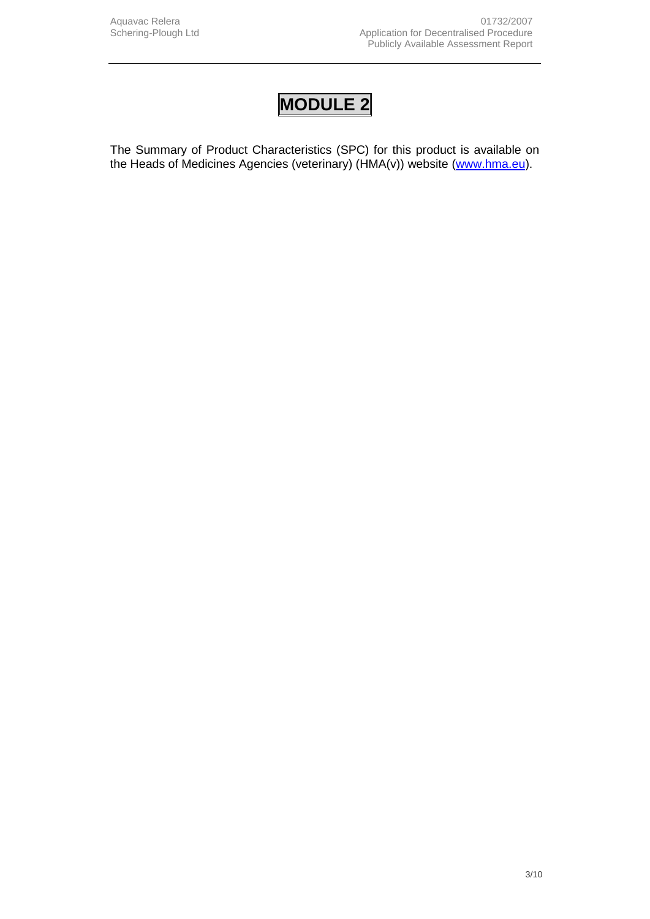The Summary of Product Characteristics (SPC) for this product is available on the Heads of Medicines Agencies (veterinary) (HMA(v)) website [\(www.hma.eu\)](http://www.hma.eu/).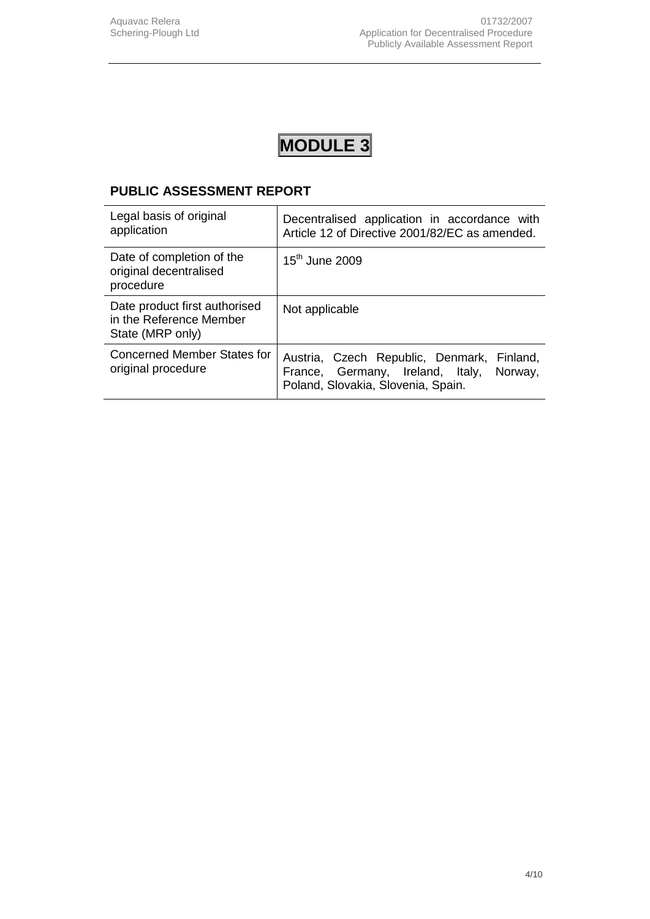# **PUBLIC ASSESSMENT REPORT**

| Legal basis of original<br>application                                       | Decentralised application in accordance with<br>Article 12 of Directive 2001/82/EC as amended.                                  |
|------------------------------------------------------------------------------|---------------------------------------------------------------------------------------------------------------------------------|
| Date of completion of the<br>original decentralised<br>procedure             | $15th$ June 2009                                                                                                                |
| Date product first authorised<br>in the Reference Member<br>State (MRP only) | Not applicable                                                                                                                  |
| <b>Concerned Member States for</b><br>original procedure                     | Austria, Czech Republic, Denmark, Finland,<br>France, Germany, Ireland, Italy,<br>Norway,<br>Poland, Slovakia, Slovenia, Spain. |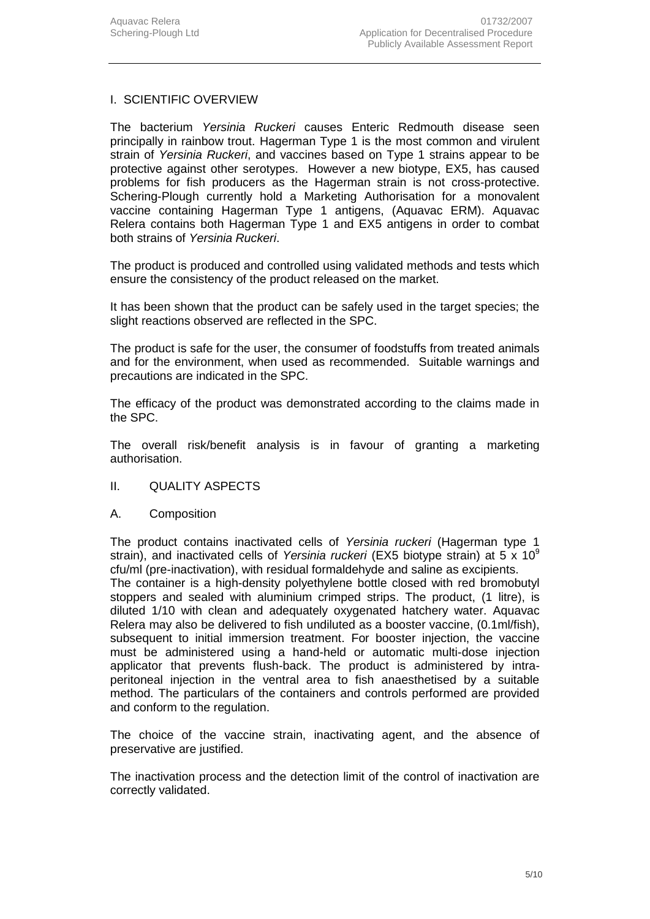### I. SCIENTIFIC OVERVIEW

The bacterium *Yersinia Ruckeri* causes Enteric Redmouth disease seen principally in rainbow trout. Hagerman Type 1 is the most common and virulent strain of *Yersinia Ruckeri*, and vaccines based on Type 1 strains appear to be protective against other serotypes. However a new biotype, EX5, has caused problems for fish producers as the Hagerman strain is not cross-protective. Schering-Plough currently hold a Marketing Authorisation for a monovalent vaccine containing Hagerman Type 1 antigens, (Aquavac ERM). Aquavac Relera contains both Hagerman Type 1 and EX5 antigens in order to combat both strains of *Yersinia Ruckeri*.

The product is produced and controlled using validated methods and tests which ensure the consistency of the product released on the market.

It has been shown that the product can be safely used in the target species; the slight reactions observed are reflected in the SPC.

The product is safe for the user, the consumer of foodstuffs from treated animals and for the environment, when used as recommended. Suitable warnings and precautions are indicated in the SPC.

The efficacy of the product was demonstrated according to the claims made in the SPC.

The overall risk/benefit analysis is in favour of granting a marketing authorisation.

- II. QUALITY ASPECTS
- A. Composition

The product contains inactivated cells of *Yersinia ruckeri* (Hagerman type 1 strain), and inactivated cells of *Yersinia ruckeri* (EX5 biotype strain) at 5 x 10<sup>9</sup> cfu/ml (pre-inactivation), with residual formaldehyde and saline as excipients. The container is a high-density polyethylene bottle closed with red bromobutyl stoppers and sealed with aluminium crimped strips. The product, (1 litre), is diluted 1/10 with clean and adequately oxygenated hatchery water. Aquavac Relera may also be delivered to fish undiluted as a booster vaccine, (0.1ml/fish), subsequent to initial immersion treatment. For booster injection, the vaccine must be administered using a hand-held or automatic multi-dose injection applicator that prevents flush-back. The product is administered by intraperitoneal injection in the ventral area to fish anaesthetised by a suitable method. The particulars of the containers and controls performed are provided and conform to the regulation.

The choice of the vaccine strain, inactivating agent, and the absence of preservative are justified.

The inactivation process and the detection limit of the control of inactivation are correctly validated.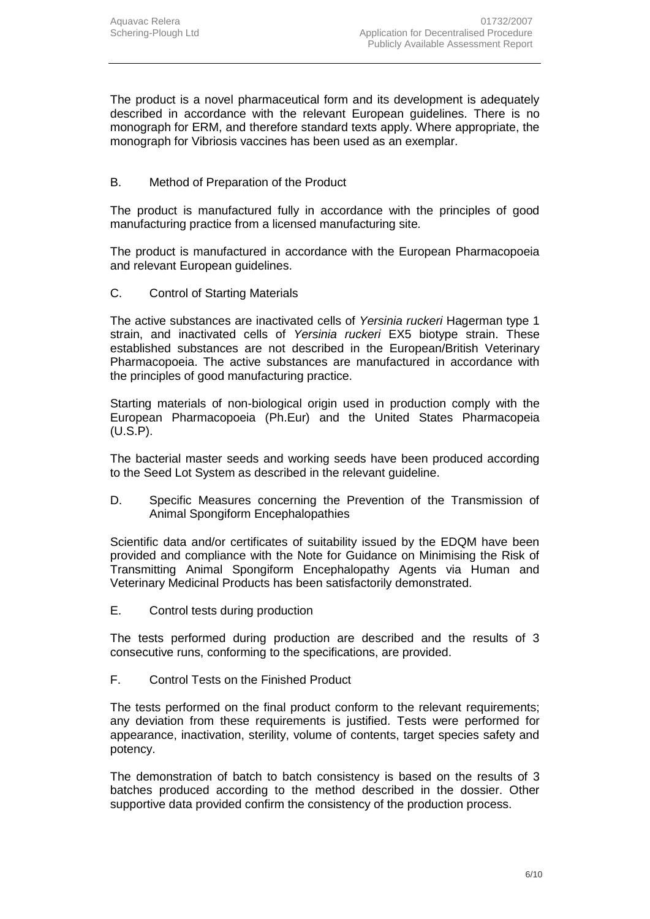The product is a novel pharmaceutical form and its development is adequately described in accordance with the relevant European guidelines. There is no monograph for ERM, and therefore standard texts apply. Where appropriate, the monograph for Vibriosis vaccines has been used as an exemplar.

# B. Method of Preparation of the Product

The product is manufactured fully in accordance with the principles of good manufacturing practice from a licensed manufacturing site*.*

The product is manufactured in accordance with the European Pharmacopoeia and relevant European guidelines.

C. Control of Starting Materials

The active substances are inactivated cells of *Yersinia ruckeri* Hagerman type 1 strain, and inactivated cells of *Yersinia ruckeri* EX5 biotype strain. These established substances are not described in the European/British Veterinary Pharmacopoeia. The active substances are manufactured in accordance with the principles of good manufacturing practice.

Starting materials of non-biological origin used in production comply with the European Pharmacopoeia (Ph.Eur) and the United States Pharmacopeia (U.S.P).

The bacterial master seeds and working seeds have been produced according to the Seed Lot System as described in the relevant guideline.

D. Specific Measures concerning the Prevention of the Transmission of Animal Spongiform Encephalopathies

Scientific data and/or certificates of suitability issued by the EDQM have been provided and compliance with the Note for Guidance on Minimising the Risk of Transmitting Animal Spongiform Encephalopathy Agents via Human and Veterinary Medicinal Products has been satisfactorily demonstrated.

E. Control tests during production

The tests performed during production are described and the results of 3 consecutive runs, conforming to the specifications, are provided.

F. Control Tests on the Finished Product

The tests performed on the final product conform to the relevant requirements; any deviation from these requirements is justified. Tests were performed for appearance, inactivation, sterility, volume of contents, target species safety and potency.

The demonstration of batch to batch consistency is based on the results of 3 batches produced according to the method described in the dossier. Other supportive data provided confirm the consistency of the production process.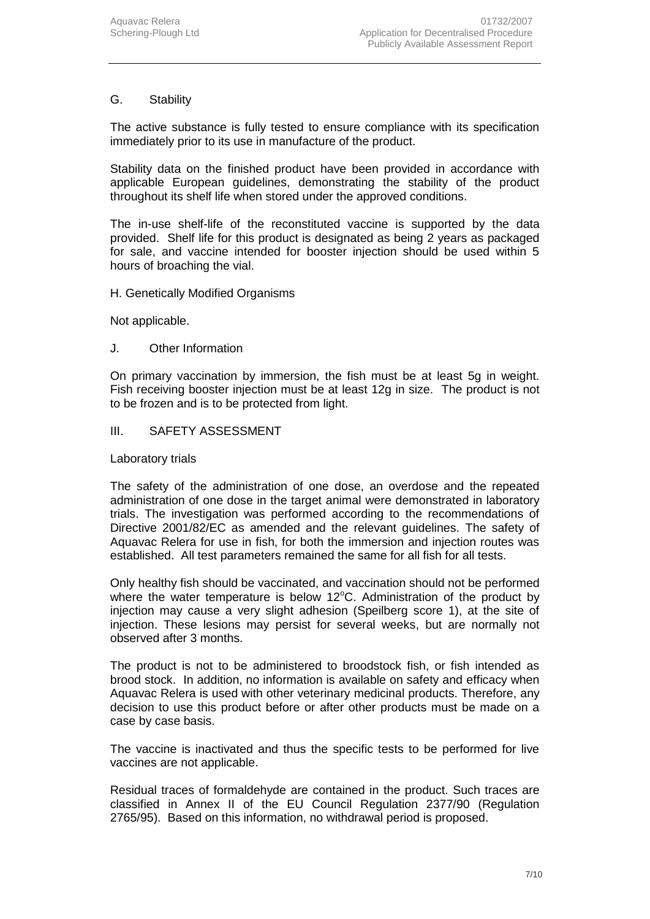### G. Stability

The active substance is fully tested to ensure compliance with its specification immediately prior to its use in manufacture of the product.

Stability data on the finished product have been provided in accordance with applicable European guidelines, demonstrating the stability of the product throughout its shelf life when stored under the approved conditions.

The in-use shelf-life of the reconstituted vaccine is supported by the data provided. Shelf life for this product is designated as being 2 years as packaged for sale, and vaccine intended for booster injection should be used within 5 hours of broaching the vial.

#### H. Genetically Modified Organisms

Not applicable.

#### J. Other Information

On primary vaccination by immersion, the fish must be at least 5g in weight. Fish receiving booster injection must be at least 12g in size. The product is not to be frozen and is to be protected from light.

#### III. SAFETY ASSESSMENT

#### Laboratory trials

The safety of the administration of one dose, an overdose and the repeated administration of one dose in the target animal were demonstrated in laboratory trials. The investigation was performed according to the recommendations of Directive 2001/82/EC as amended and the relevant guidelines. The safety of Aquavac Relera for use in fish, for both the immersion and injection routes was established. All test parameters remained the same for all fish for all tests.

Only healthy fish should be vaccinated, and vaccination should not be performed where the water temperature is below 12 $\degree$ C. Administration of the product by injection may cause a very slight adhesion (Speilberg score 1), at the site of injection. These lesions may persist for several weeks, but are normally not observed after 3 months.

The product is not to be administered to broodstock fish, or fish intended as brood stock. In addition, no information is available on safety and efficacy when Aquavac Relera is used with other veterinary medicinal products. Therefore, any decision to use this product before or after other products must be made on a case by case basis.

The vaccine is inactivated and thus the specific tests to be performed for live vaccines are not applicable.

Residual traces of formaldehyde are contained in the product. Such traces are classified in Annex II of the EU Council Regulation 2377/90 (Regulation 2765/95). Based on this information, no withdrawal period is proposed.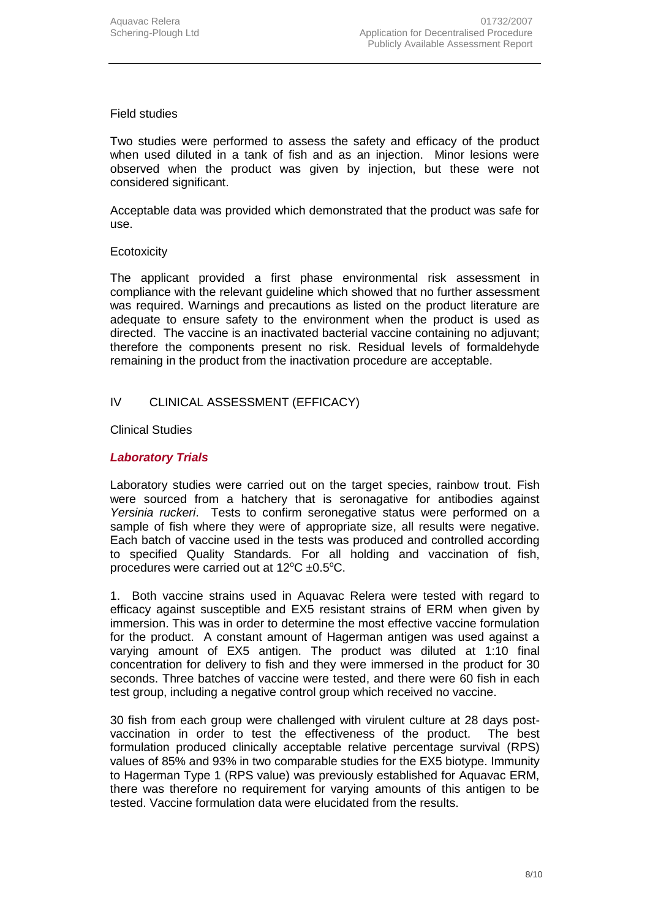#### Field studies

Two studies were performed to assess the safety and efficacy of the product when used diluted in a tank of fish and as an injection. Minor lesions were observed when the product was given by injection, but these were not considered significant.

Acceptable data was provided which demonstrated that the product was safe for use.

#### **Ecotoxicity**

The applicant provided a first phase environmental risk assessment in compliance with the relevant guideline which showed that no further assessment was required. Warnings and precautions as listed on the product literature are adequate to ensure safety to the environment when the product is used as directed. The vaccine is an inactivated bacterial vaccine containing no adjuvant; therefore the components present no risk. Residual levels of formaldehyde remaining in the product from the inactivation procedure are acceptable.

### IV CLINICAL ASSESSMENT (EFFICACY)

Clinical Studies

### *Laboratory Trials*

Laboratory studies were carried out on the target species, rainbow trout. Fish were sourced from a hatchery that is seronagative for antibodies against *Yersinia ruckeri*. Tests to confirm seronegative status were performed on a sample of fish where they were of appropriate size, all results were negative. Each batch of vaccine used in the tests was produced and controlled according to specified Quality Standards. For all holding and vaccination of fish, procedures were carried out at  $12^{\circ}$ C ±0.5°C.

1. Both vaccine strains used in Aquavac Relera were tested with regard to efficacy against susceptible and EX5 resistant strains of ERM when given by immersion. This was in order to determine the most effective vaccine formulation for the product. A constant amount of Hagerman antigen was used against a varying amount of EX5 antigen. The product was diluted at 1:10 final concentration for delivery to fish and they were immersed in the product for 30 seconds. Three batches of vaccine were tested, and there were 60 fish in each test group, including a negative control group which received no vaccine.

30 fish from each group were challenged with virulent culture at 28 days postvaccination in order to test the effectiveness of the product. The best formulation produced clinically acceptable relative percentage survival (RPS) values of 85% and 93% in two comparable studies for the EX5 biotype. Immunity to Hagerman Type 1 (RPS value) was previously established for Aquavac ERM, there was therefore no requirement for varying amounts of this antigen to be tested. Vaccine formulation data were elucidated from the results.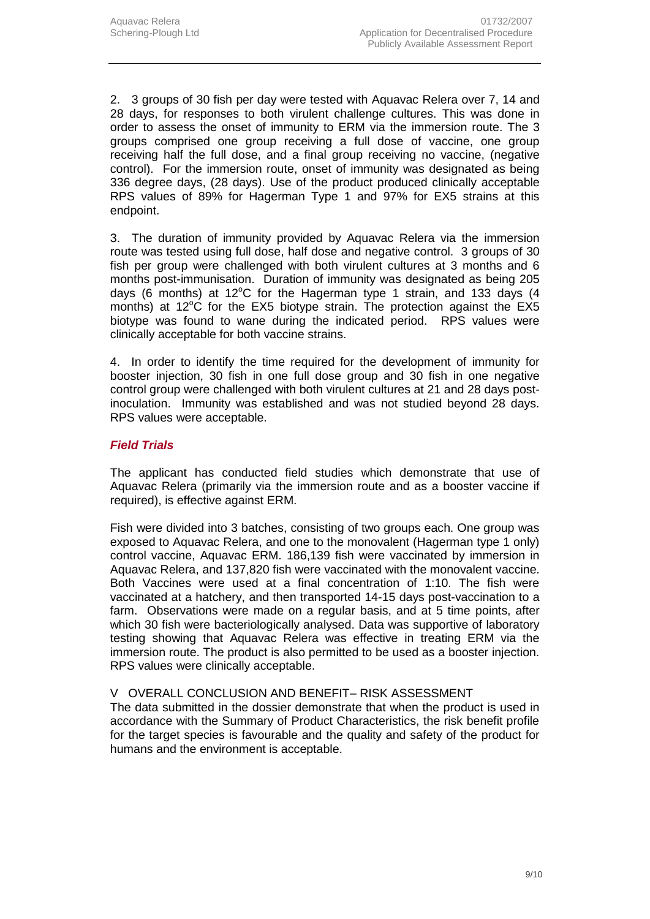2. 3 groups of 30 fish per day were tested with Aquavac Relera over 7, 14 and 28 days, for responses to both virulent challenge cultures. This was done in order to assess the onset of immunity to ERM via the immersion route. The 3 groups comprised one group receiving a full dose of vaccine, one group receiving half the full dose, and a final group receiving no vaccine, (negative control). For the immersion route, onset of immunity was designated as being 336 degree days, (28 days). Use of the product produced clinically acceptable RPS values of 89% for Hagerman Type 1 and 97% for EX5 strains at this endpoint.

3. The duration of immunity provided by Aquavac Relera via the immersion route was tested using full dose, half dose and negative control. 3 groups of 30 fish per group were challenged with both virulent cultures at 3 months and 6 months post-immunisation. Duration of immunity was designated as being 205 days (6 months) at 12°C for the Hagerman type 1 strain, and 133 days (4 months) at 12°C for the EX5 biotype strain. The protection against the EX5 biotype was found to wane during the indicated period. RPS values were clinically acceptable for both vaccine strains.

4. In order to identify the time required for the development of immunity for booster injection, 30 fish in one full dose group and 30 fish in one negative control group were challenged with both virulent cultures at 21 and 28 days postinoculation. Immunity was established and was not studied beyond 28 days. RPS values were acceptable.

#### *Field Trials*

The applicant has conducted field studies which demonstrate that use of Aquavac Relera (primarily via the immersion route and as a booster vaccine if required), is effective against ERM.

Fish were divided into 3 batches, consisting of two groups each. One group was exposed to Aquavac Relera, and one to the monovalent (Hagerman type 1 only) control vaccine, Aquavac ERM. 186,139 fish were vaccinated by immersion in Aquavac Relera, and 137,820 fish were vaccinated with the monovalent vaccine. Both Vaccines were used at a final concentration of 1:10. The fish were vaccinated at a hatchery, and then transported 14-15 days post-vaccination to a farm. Observations were made on a regular basis, and at 5 time points, after which 30 fish were bacteriologically analysed. Data was supportive of laboratory testing showing that Aquavac Relera was effective in treating ERM via the immersion route. The product is also permitted to be used as a booster injection. RPS values were clinically acceptable.

#### V OVERALL CONCLUSION AND BENEFIT– RISK ASSESSMENT

The data submitted in the dossier demonstrate that when the product is used in accordance with the Summary of Product Characteristics, the risk benefit profile for the target species is favourable and the quality and safety of the product for humans and the environment is acceptable.